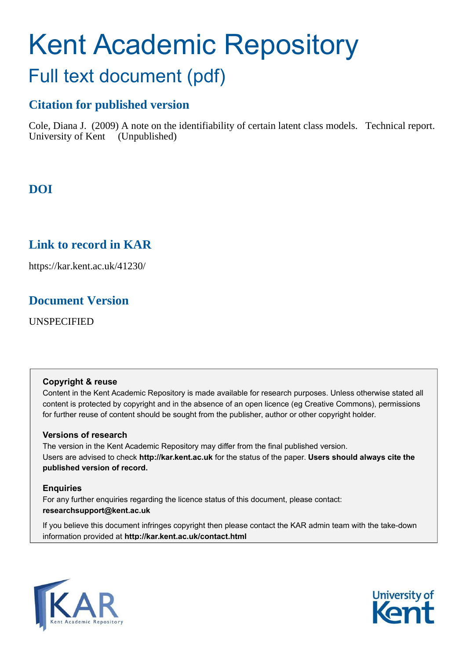# Kent Academic Repository Full text document (pdf)

# **Citation for published version**

Cole, Diana J. (2009) A note on the identifiability of certain latent class models. Technical report. University of Kent (Unpublished)

**DOI**

# **Link to record in KAR**

https://kar.kent.ac.uk/41230/

## **Document Version**

UNSPECIFIED

### **Copyright & reuse**

Content in the Kent Academic Repository is made available for research purposes. Unless otherwise stated all content is protected by copyright and in the absence of an open licence (eg Creative Commons), permissions for further reuse of content should be sought from the publisher, author or other copyright holder.

### **Versions of research**

The version in the Kent Academic Repository may differ from the final published version. Users are advised to check **http://kar.kent.ac.uk** for the status of the paper. **Users should always cite the published version of record.**

### **Enquiries**

For any further enquiries regarding the licence status of this document, please contact: **researchsupport@kent.ac.uk**

If you believe this document infringes copyright then please contact the KAR admin team with the take-down information provided at **http://kar.kent.ac.uk/contact.html**



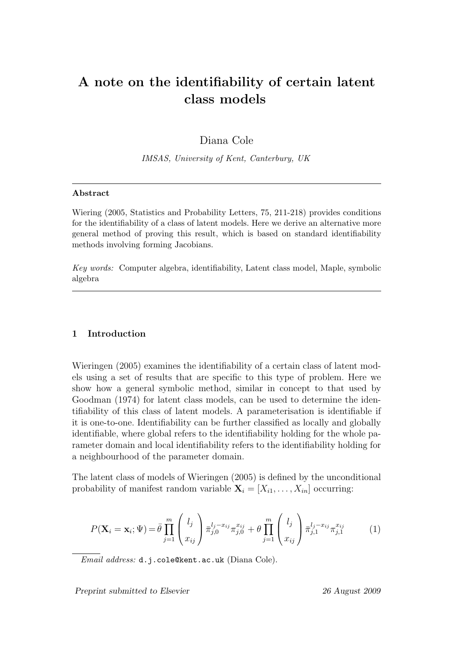# A note on the identifiability of certain latent class models

Diana Cole

IMSAS, University of Kent, Canterbury, UK

#### Abstract

Wiering (2005, Statistics and Probability Letters, 75, 211-218) provides conditions for the identifiability of a class of latent models. Here we derive an alternative more general method of proving this result, which is based on standard identifiability methods involving forming Jacobians.

Key words: Computer algebra, identifiability, Latent class model, Maple, symbolic algebra

#### 1 Introduction

Wieringen (2005) examines the identifiability of a certain class of latent models using a set of results that are specific to this type of problem. Here we show how a general symbolic method, similar in concept to that used by Goodman (1974) for latent class models, can be used to determine the identifiability of this class of latent models. A parameterisation is identifiable if it is one-to-one. Identifiability can be further classified as locally and globally identifiable, where global refers to the identifiability holding for the whole parameter domain and local identifiability refers to the identifiability holding for a neighbourhood of the parameter domain.

The latent class of models of Wieringen (2005) is defined by the unconditional probability of manifest random variable  $\mathbf{X}_i = [X_{i1}, \ldots, X_{in}]$  occurring:

$$
P(\mathbf{X}_{i} = \mathbf{x}_{i}; \Psi) = \bar{\theta} \prod_{j=1}^{m} \begin{pmatrix} l_{j} \\ x_{ij} \end{pmatrix} \bar{\pi}_{j,0}^{l_{j} - x_{ij}} \pi_{j,0}^{x_{ij}} + \theta \prod_{j=1}^{m} \begin{pmatrix} l_{j} \\ x_{ij} \end{pmatrix} \bar{\pi}_{j,1}^{l_{j} - x_{ij}} \pi_{j,1}^{x_{ij}} \tag{1}
$$

Email address: d.j.cole@kent.ac.uk (Diana Cole).

Preprint submitted to Elsevier 26 August 2009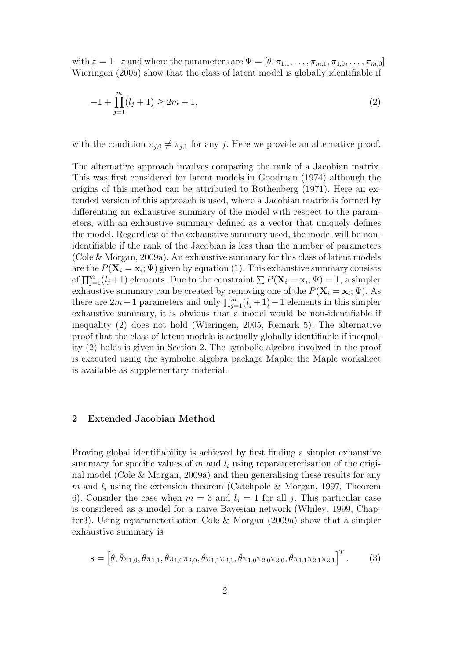with  $\bar{z} = 1-z$  and where the parameters are  $\Psi = [\theta, \pi_{1,1}, \ldots, \pi_{m,1}, \pi_{1,0}, \ldots, \pi_{m,0}].$ Wieringen (2005) show that the class of latent model is globally identifiable if

$$
-1 + \prod_{j=1}^{m} (l_j + 1) \ge 2m + 1,
$$
\n(2)

with the condition  $\pi_{i,0} \neq \pi_{i,1}$  for any j. Here we provide an alternative proof.

The alternative approach involves comparing the rank of a Jacobian matrix. This was first considered for latent models in Goodman (1974) although the origins of this method can be attributed to Rothenberg (1971). Here an extended version of this approach is used, where a Jacobian matrix is formed by differenting an exhaustive summary of the model with respect to the parameters, with an exhaustive summary defined as a vector that uniquely defines the model. Regardless of the exhaustive summary used, the model will be nonidentifiable if the rank of the Jacobian is less than the number of parameters (Cole & Morgan, 2009a). An exhaustive summary for this class of latent models are the  $P(\mathbf{X}_i = \mathbf{x}_i; \Psi)$  given by equation (1). This exhaustive summary consists of  $\prod_{j=1}^m (l_j+1)$  elements. Due to the constraint  $\sum P(\mathbf{X}_i = \mathbf{x}_i; \Psi) = 1$ , a simpler exhaustive summary can be created by removing one of the  $P(\mathbf{X}_i = \mathbf{x}_i; \Psi)$ . As there are  $2m+1$  parameters and only  $\prod_{j=1}^{m} (l_j + 1) - 1$  elements in this simpler exhaustive summary, it is obvious that a model would be non-identifiable if inequality (2) does not hold (Wieringen, 2005, Remark 5). The alternative proof that the class of latent models is actually globally identifiable if inequality (2) holds is given in Section 2. The symbolic algebra involved in the proof is executed using the symbolic algebra package Maple; the Maple worksheet is available as supplementary material.

### 2 Extended Jacobian Method

Proving global identifiability is achieved by first finding a simpler exhaustive summary for specific values of m and  $l_i$  using reparameterisation of the original model (Cole & Morgan, 2009a) and then generalising these results for any m and  $l_i$  using the extension theorem (Catchpole & Morgan, 1997, Theorem 6). Consider the case when  $m = 3$  and  $l<sub>j</sub> = 1$  for all j. This particular case is considered as a model for a naive Bayesian network (Whiley, 1999, Chapter3). Using reparameterisation Cole & Morgan (2009a) show that a simpler exhaustive summary is

$$
\mathbf{s} = \left[\theta, \bar{\theta}\pi_{1,0}, \theta\pi_{1,1}, \bar{\theta}\pi_{1,0}\pi_{2,0}, \theta\pi_{1,1}\pi_{2,1}, \bar{\theta}\pi_{1,0}\pi_{2,0}\pi_{3,0}, \theta\pi_{1,1}\pi_{2,1}\pi_{3,1}\right]^T. \tag{3}
$$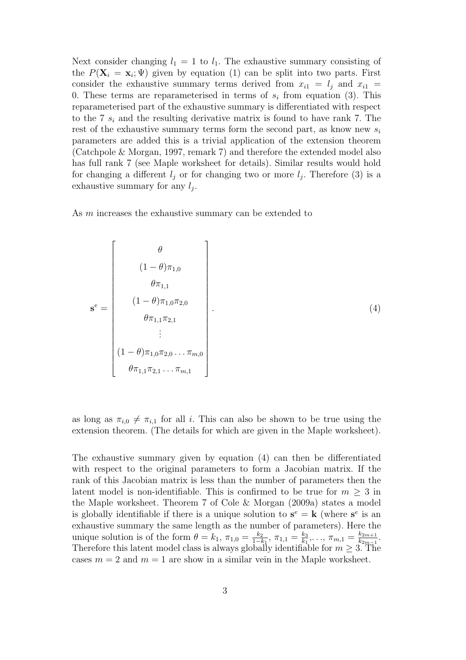Next consider changing  $l_1 = 1$  to  $l_1$ . The exhaustive summary consisting of the  $P(\mathbf{X}_i = \mathbf{x}_i; \Psi)$  given by equation (1) can be split into two parts. First consider the exhaustive summary terms derived from  $x_{i1} = l_i$  and  $x_{i1} =$ 0. These terms are reparameterised in terms of  $s_i$  from equation (3). This reparameterised part of the exhaustive summary is differentiated with respect to the 7  $s_i$  and the resulting derivative matrix is found to have rank 7. The rest of the exhaustive summary terms form the second part, as know new  $s_i$ parameters are added this is a trivial application of the extension theorem (Catchpole & Morgan, 1997, remark 7) and therefore the extended model also has full rank 7 (see Maple worksheet for details). Similar results would hold for changing a different  $l_j$  or for changing two or more  $l_j$ . Therefore (3) is a exhaustive summary for any  $l_j$ .

As m increases the exhaustive summary can be extended to

$$
\mathbf{s}^{e} = \begin{bmatrix} \theta \\ (1 - \theta)\pi_{1,0} \\ \theta\pi_{1,1} \\ (1 - \theta)\pi_{1,0}\pi_{2,0} \\ \theta\pi_{1,1}\pi_{2,1} \\ \vdots \\ (\theta\pi_{1,1}\pi_{2,0} \dots \pi_{m,0}) \\ \theta\pi_{1,1}\pi_{2,1} \dots \pi_{m,1} \end{bmatrix} .
$$
 (4)

as long as  $\pi_{i,0} \neq \pi_{i,1}$  for all i. This can also be shown to be true using the extension theorem. (The details for which are given in the Maple worksheet).

The exhaustive summary given by equation (4) can then be differentiated with respect to the original parameters to form a Jacobian matrix. If the rank of this Jacobian matrix is less than the number of parameters then the latent model is non-identifiable. This is confirmed to be true for  $m \geq 3$  in the Maple worksheet. Theorem 7 of Cole & Morgan (2009a) states a model is globally identifiable if there is a unique solution to  $s^e = k$  (where  $s^e$  is an exhaustive summary the same length as the number of parameters). Here the unique solution is of the form  $\theta = k_1, \pi_{1,0} = \frac{k_2}{1-k_1}, \pi_{1,1} = \frac{k_3}{k_1}$  $\frac{k_3}{k_1}, \ldots, \pi_{m,1} = \frac{k_{2m+1}}{k_{2m-1}}$  $\frac{k_{2m+1}}{k_{2m-1}}.$ Therefore this latent model class is always globally identifiable for  $m \geq 3$ . The cases  $m = 2$  and  $m = 1$  are show in a similar vein in the Maple worksheet.